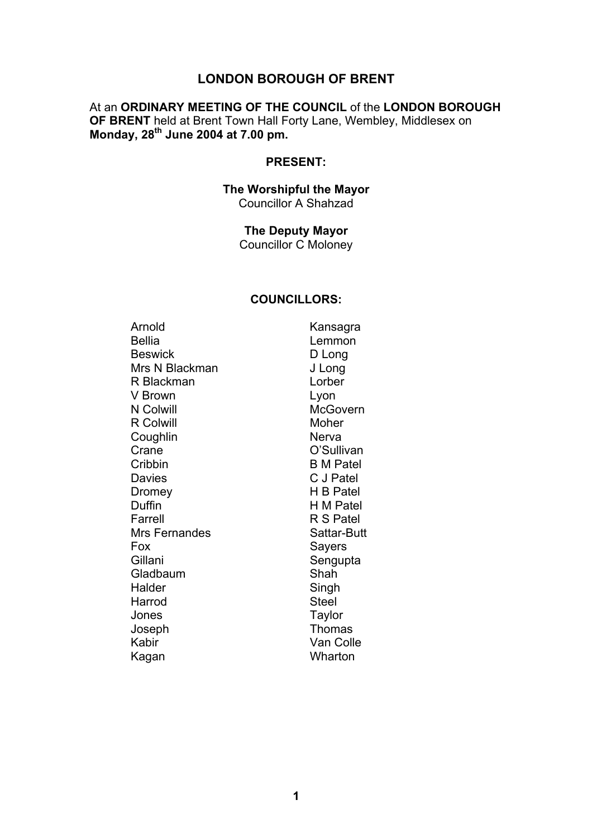# **LONDON BOROUGH OF BRENT**

# At an **ORDINARY MEETING OF THE COUNCIL** of the **LONDON BOROUGH OF BRENT** held at Brent Town Hall Forty Lane, Wembley, Middlesex on **Monday, 28th June 2004 at 7.00 pm.**

## **PRESENT:**

### **The Worshipful the Mayor**  Councillor A Shahzad

**The Deputy Mayor**  Councillor C Moloney

#### **COUNCILLORS:**

| Arnold           | Kansagra         |
|------------------|------------------|
| <b>Bellia</b>    | Lemmon           |
| <b>Beswick</b>   | D Long           |
| Mrs N Blackman   | J Long           |
| R Blackman       | Lorber           |
| V Brown          | Lyon             |
| N Colwill        | <b>McGovern</b>  |
| <b>R</b> Colwill | Moher            |
| Coughlin         | Nerva            |
| Crane            | O'Sullivan       |
| Cribbin          | <b>B</b> M Patel |
| <b>Davies</b>    | C J Patel        |
| Dromey           | H B Patel        |
| Duffin           | H M Patel        |
| Farrell          | R S Patel        |
| Mrs Fernandes    | Sattar-Butt      |
| Fox              | Sayers           |
| Gillani          | Sengupta         |
| Gladbaum         | Shah             |
| Halder           | Singh            |
| Harrod           | <b>Steel</b>     |
| Jones            | Taylor           |
| Joseph           | Thomas           |
| Kabir            | Van Colle        |
| Kagan            | Wharton          |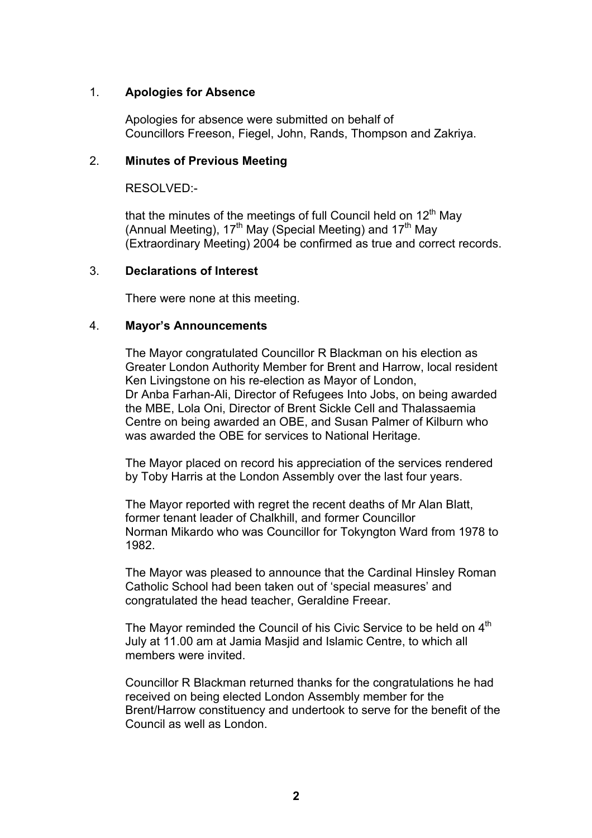## 1. **Apologies for Absence**

Apologies for absence were submitted on behalf of Councillors Freeson, Fiegel, John, Rands, Thompson and Zakriya.

#### 2. **Minutes of Previous Meeting**

RESOLVED:-

that the minutes of the meetings of full Council held on 12<sup>th</sup> May (Annual Meeting), 17<sup>th</sup> May (Special Meeting) and 17<sup>th</sup> May (Extraordinary Meeting) 2004 be confirmed as true and correct records.

#### 3. **Declarations of Interest**

There were none at this meeting.

#### 4. **Mayor's Announcements**

The Mayor congratulated Councillor R Blackman on his election as Greater London Authority Member for Brent and Harrow, local resident Ken Livingstone on his re-election as Mayor of London, Dr Anba Farhan-Ali, Director of Refugees Into Jobs, on being awarded the MBE, Lola Oni, Director of Brent Sickle Cell and Thalassaemia Centre on being awarded an OBE, and Susan Palmer of Kilburn who was awarded the OBE for services to National Heritage.

The Mayor placed on record his appreciation of the services rendered by Toby Harris at the London Assembly over the last four years.

The Mayor reported with regret the recent deaths of Mr Alan Blatt, former tenant leader of Chalkhill, and former Councillor Norman Mikardo who was Councillor for Tokyngton Ward from 1978 to 1982.

The Mayor was pleased to announce that the Cardinal Hinsley Roman Catholic School had been taken out of 'special measures' and congratulated the head teacher, Geraldine Freear.

The Mayor reminded the Council of his Civic Service to be held on  $4<sup>th</sup>$ July at 11.00 am at Jamia Masjid and Islamic Centre, to which all members were invited.

Councillor R Blackman returned thanks for the congratulations he had received on being elected London Assembly member for the Brent/Harrow constituency and undertook to serve for the benefit of the Council as well as London.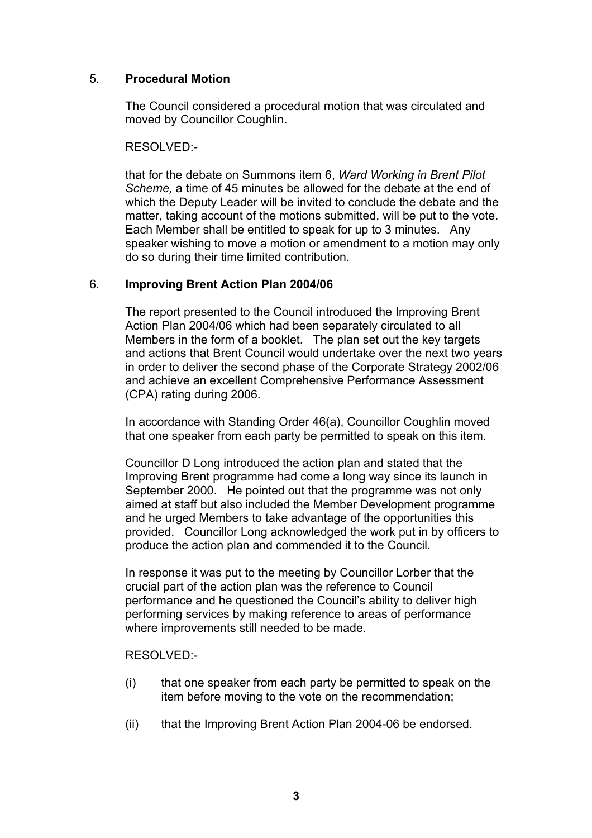## 5. **Procedural Motion**

The Council considered a procedural motion that was circulated and moved by Councillor Coughlin.

RESOLVED:-

that for the debate on Summons item 6, *Ward Working in Brent Pilot Scheme,* a time of 45 minutes be allowed for the debate at the end of which the Deputy Leader will be invited to conclude the debate and the matter, taking account of the motions submitted, will be put to the vote. Each Member shall be entitled to speak for up to 3 minutes. Any speaker wishing to move a motion or amendment to a motion may only do so during their time limited contribution.

## 6. **Improving Brent Action Plan 2004/06**

The report presented to the Council introduced the Improving Brent Action Plan 2004/06 which had been separately circulated to all Members in the form of a booklet. The plan set out the key targets and actions that Brent Council would undertake over the next two years in order to deliver the second phase of the Corporate Strategy 2002/06 and achieve an excellent Comprehensive Performance Assessment (CPA) rating during 2006.

In accordance with Standing Order 46(a), Councillor Coughlin moved that one speaker from each party be permitted to speak on this item.

Councillor D Long introduced the action plan and stated that the Improving Brent programme had come a long way since its launch in September 2000. He pointed out that the programme was not only aimed at staff but also included the Member Development programme and he urged Members to take advantage of the opportunities this provided. Councillor Long acknowledged the work put in by officers to produce the action plan and commended it to the Council.

In response it was put to the meeting by Councillor Lorber that the crucial part of the action plan was the reference to Council performance and he questioned the Council's ability to deliver high performing services by making reference to areas of performance where improvements still needed to be made.

RESOLVED:-

- (i) that one speaker from each party be permitted to speak on the item before moving to the vote on the recommendation;
- (ii) that the Improving Brent Action Plan 2004-06 be endorsed.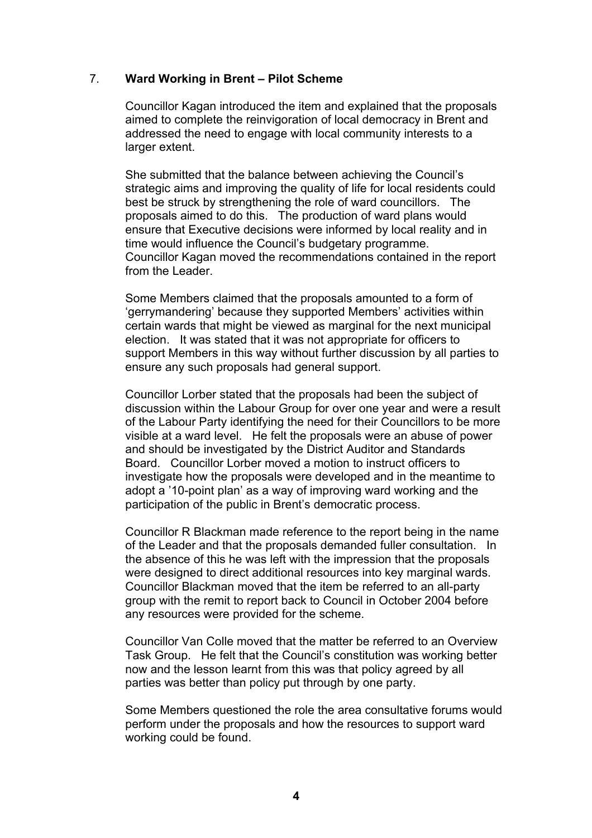## 7. **Ward Working in Brent – Pilot Scheme**

Councillor Kagan introduced the item and explained that the proposals aimed to complete the reinvigoration of local democracy in Brent and addressed the need to engage with local community interests to a larger extent.

She submitted that the balance between achieving the Council's strategic aims and improving the quality of life for local residents could best be struck by strengthening the role of ward councillors. The proposals aimed to do this. The production of ward plans would ensure that Executive decisions were informed by local reality and in time would influence the Council's budgetary programme. Councillor Kagan moved the recommendations contained in the report from the Leader.

Some Members claimed that the proposals amounted to a form of 'gerrymandering' because they supported Members' activities within certain wards that might be viewed as marginal for the next municipal election. It was stated that it was not appropriate for officers to support Members in this way without further discussion by all parties to ensure any such proposals had general support.

Councillor Lorber stated that the proposals had been the subject of discussion within the Labour Group for over one year and were a result of the Labour Party identifying the need for their Councillors to be more visible at a ward level. He felt the proposals were an abuse of power and should be investigated by the District Auditor and Standards Board. Councillor Lorber moved a motion to instruct officers to investigate how the proposals were developed and in the meantime to adopt a '10-point plan' as a way of improving ward working and the participation of the public in Brent's democratic process.

Councillor R Blackman made reference to the report being in the name of the Leader and that the proposals demanded fuller consultation. In the absence of this he was left with the impression that the proposals were designed to direct additional resources into key marginal wards. Councillor Blackman moved that the item be referred to an all-party group with the remit to report back to Council in October 2004 before any resources were provided for the scheme.

Councillor Van Colle moved that the matter be referred to an Overview Task Group. He felt that the Council's constitution was working better now and the lesson learnt from this was that policy agreed by all parties was better than policy put through by one party.

Some Members questioned the role the area consultative forums would perform under the proposals and how the resources to support ward working could be found.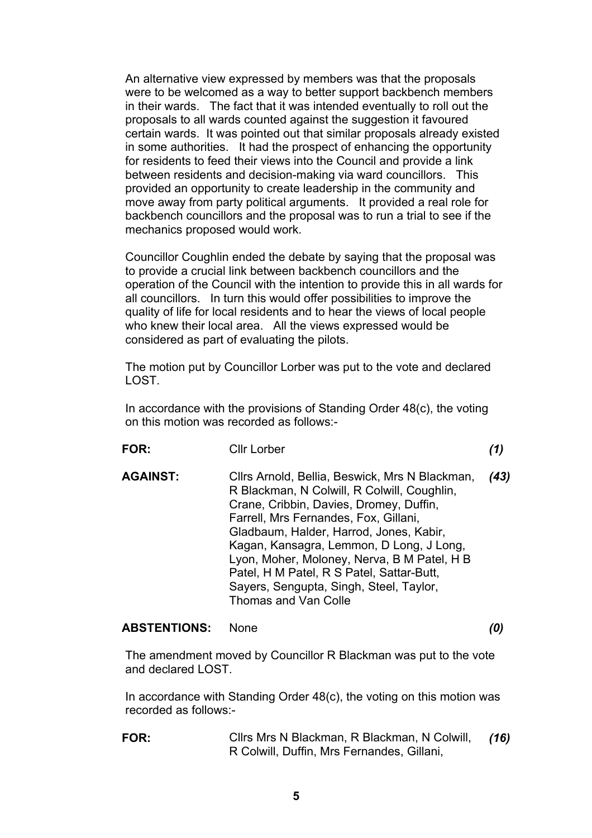An alternative view expressed by members was that the proposals were to be welcomed as a way to better support backbench members in their wards. The fact that it was intended eventually to roll out the proposals to all wards counted against the suggestion it favoured certain wards. It was pointed out that similar proposals already existed in some authorities. It had the prospect of enhancing the opportunity for residents to feed their views into the Council and provide a link between residents and decision-making via ward councillors. This provided an opportunity to create leadership in the community and move away from party political arguments. It provided a real role for backbench councillors and the proposal was to run a trial to see if the mechanics proposed would work.

Councillor Coughlin ended the debate by saying that the proposal was to provide a crucial link between backbench councillors and the operation of the Council with the intention to provide this in all wards for all councillors. In turn this would offer possibilities to improve the quality of life for local residents and to hear the views of local people who knew their local area. All the views expressed would be considered as part of evaluating the pilots.

The motion put by Councillor Lorber was put to the vote and declared LOST.

In accordance with the provisions of Standing Order 48(c), the voting on this motion was recorded as follows:-

**FOR:** Cllr Lorber *(1)* 

**AGAINST:** Cllrs Arnold, Bellia, Beswick, Mrs N Blackman, R Blackman, N Colwill, R Colwill, Coughlin, Crane, Cribbin, Davies, Dromey, Duffin, Farrell, Mrs Fernandes, Fox, Gillani, Gladbaum, Halder, Harrod, Jones, Kabir, Kagan, Kansagra, Lemmon, D Long, J Long, Lyon, Moher, Moloney, Nerva, B M Patel, H B Patel, H M Patel, R S Patel, Sattar-Butt, Sayers, Sengupta, Singh, Steel, Taylor, Thomas and Van Colle *(43)* 

## **ABSTENTIONS:** None *(0)*

The amendment moved by Councillor R Blackman was put to the vote and declared LOST.

In accordance with Standing Order 48(c), the voting on this motion was recorded as follows:-

**FOR:** Cllrs Mrs N Blackman, R Blackman, N Colwill, R Colwill, Duffin, Mrs Fernandes, Gillani, *(16)*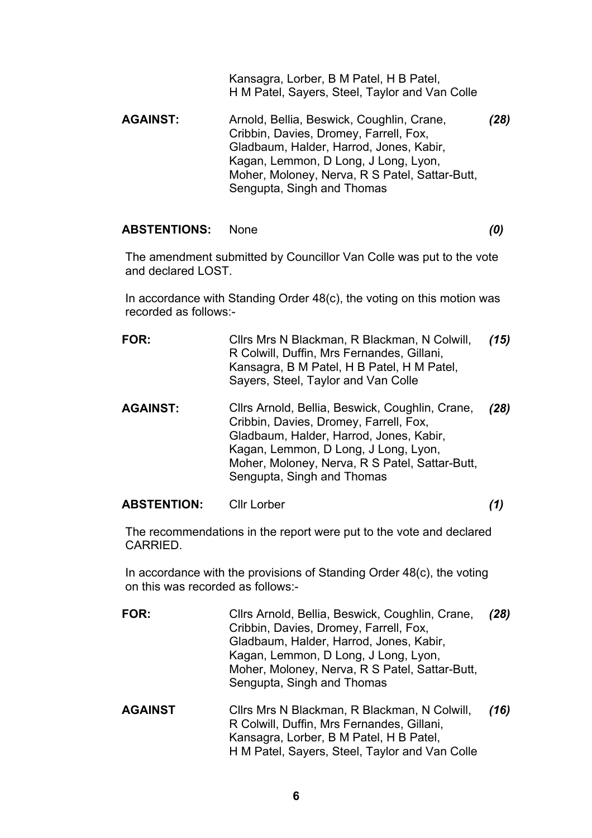Kansagra, Lorber, B M Patel, H B Patel, H M Patel, Sayers, Steel, Taylor and Van Colle

**AGAINST:** Arnold, Bellia, Beswick, Coughlin, Crane, Cribbin, Davies, Dromey, Farrell, Fox, Gladbaum, Halder, Harrod, Jones, Kabir, Kagan, Lemmon, D Long, J Long, Lyon, Moher, Moloney, Nerva, R S Patel, Sattar-Butt, Sengupta, Singh and Thomas *(28)* 

#### **ABSTENTIONS:** None *(0)*

The amendment submitted by Councillor Van Colle was put to the vote and declared LOST.

In accordance with Standing Order 48(c), the voting on this motion was recorded as follows:-

- **FOR:** Cllrs Mrs N Blackman, R Blackman, N Colwill, R Colwill, Duffin, Mrs Fernandes, Gillani, Kansagra, B M Patel, H B Patel, H M Patel, Sayers, Steel, Taylor and Van Colle *(15)*
- **AGAINST:** Cllrs Arnold, Bellia, Beswick, Coughlin, Crane, Cribbin, Davies, Dromey, Farrell, Fox, Gladbaum, Halder, Harrod, Jones, Kabir, Kagan, Lemmon, D Long, J Long, Lyon, Moher, Moloney, Nerva, R S Patel, Sattar-Butt, Sengupta, Singh and Thomas *(28)*

## **ABSTENTION:** Cllr Lorber *(1)*

The recommendations in the report were put to the vote and declared CARRIED.

In accordance with the provisions of Standing Order 48(c), the voting on this was recorded as follows:-

**FOR:** Cllrs Arnold, Bellia, Beswick, Coughlin, Crane, Cribbin, Davies, Dromey, Farrell, Fox, Gladbaum, Halder, Harrod, Jones, Kabir, Kagan, Lemmon, D Long, J Long, Lyon, Moher, Moloney, Nerva, R S Patel, Sattar-Butt, Sengupta, Singh and Thomas *(28)*  **AGAINST** Cllrs Mrs N Blackman, R Blackman, N Colwill, R Colwill, Duffin, Mrs Fernandes, Gillani, Kansagra, Lorber, B M Patel, H B Patel, H M Patel, Sayers, Steel, Taylor and Van Colle *(16)*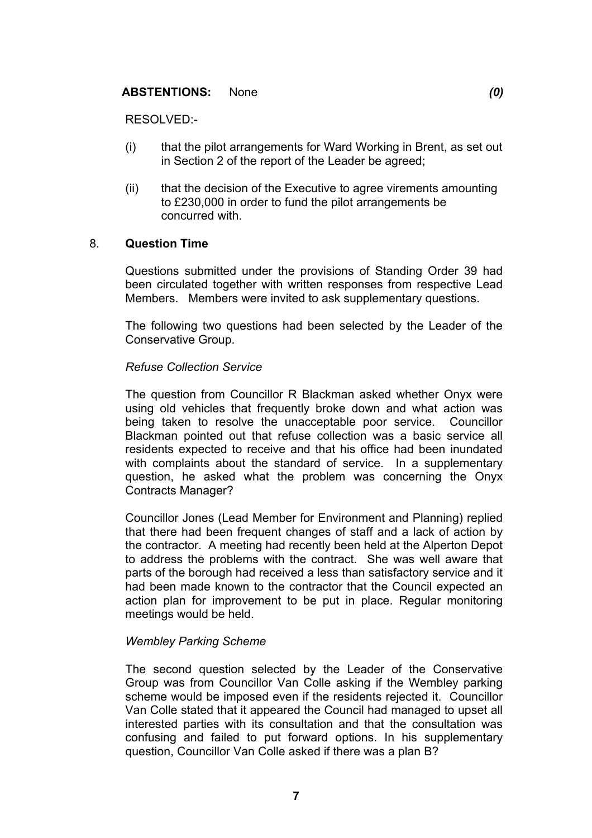### **ABSTENTIONS:** None *(0)*

RESOLVED:-

- (i) that the pilot arrangements for Ward Working in Brent, as set out in Section 2 of the report of the Leader be agreed;
- (ii) that the decision of the Executive to agree virements amounting to £230,000 in order to fund the pilot arrangements be concurred with.

#### 8. **Question Time**

Questions submitted under the provisions of Standing Order 39 had been circulated together with written responses from respective Lead Members. Members were invited to ask supplementary questions.

The following two questions had been selected by the Leader of the Conservative Group.

### *Refuse Collection Service*

The question from Councillor R Blackman asked whether Onyx were using old vehicles that frequently broke down and what action was being taken to resolve the unacceptable poor service. Councillor Blackman pointed out that refuse collection was a basic service all residents expected to receive and that his office had been inundated with complaints about the standard of service. In a supplementary question, he asked what the problem was concerning the Onyx Contracts Manager?

Councillor Jones (Lead Member for Environment and Planning) replied that there had been frequent changes of staff and a lack of action by the contractor. A meeting had recently been held at the Alperton Depot to address the problems with the contract. She was well aware that parts of the borough had received a less than satisfactory service and it had been made known to the contractor that the Council expected an action plan for improvement to be put in place. Regular monitoring meetings would be held.

#### *Wembley Parking Scheme*

The second question selected by the Leader of the Conservative Group was from Councillor Van Colle asking if the Wembley parking scheme would be imposed even if the residents rejected it. Councillor Van Colle stated that it appeared the Council had managed to upset all interested parties with its consultation and that the consultation was confusing and failed to put forward options. In his supplementary question, Councillor Van Colle asked if there was a plan B?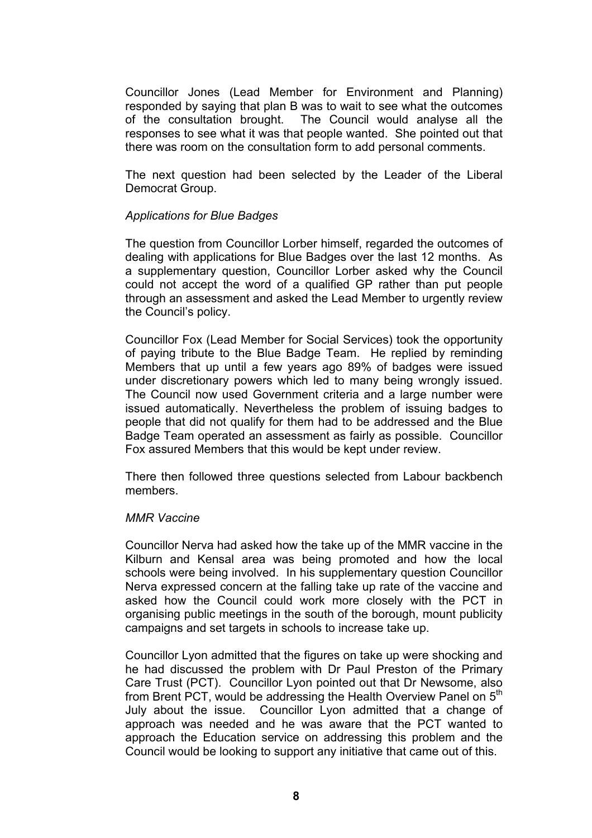Councillor Jones (Lead Member for Environment and Planning) responded by saying that plan B was to wait to see what the outcomes of the consultation brought. The Council would analyse all the responses to see what it was that people wanted. She pointed out that there was room on the consultation form to add personal comments.

The next question had been selected by the Leader of the Liberal Democrat Group.

#### *Applications for Blue Badges*

The question from Councillor Lorber himself, regarded the outcomes of dealing with applications for Blue Badges over the last 12 months. As a supplementary question, Councillor Lorber asked why the Council could not accept the word of a qualified GP rather than put people through an assessment and asked the Lead Member to urgently review the Council's policy.

Councillor Fox (Lead Member for Social Services) took the opportunity of paying tribute to the Blue Badge Team. He replied by reminding Members that up until a few years ago 89% of badges were issued under discretionary powers which led to many being wrongly issued. The Council now used Government criteria and a large number were issued automatically. Nevertheless the problem of issuing badges to people that did not qualify for them had to be addressed and the Blue Badge Team operated an assessment as fairly as possible. Councillor Fox assured Members that this would be kept under review.

There then followed three questions selected from Labour backbench members.

#### *MMR Vaccine*

Councillor Nerva had asked how the take up of the MMR vaccine in the Kilburn and Kensal area was being promoted and how the local schools were being involved. In his supplementary question Councillor Nerva expressed concern at the falling take up rate of the vaccine and asked how the Council could work more closely with the PCT in organising public meetings in the south of the borough, mount publicity campaigns and set targets in schools to increase take up.

Councillor Lyon admitted that the figures on take up were shocking and he had discussed the problem with Dr Paul Preston of the Primary Care Trust (PCT). Councillor Lyon pointed out that Dr Newsome, also from Brent PCT, would be addressing the Health Overview Panel on 5<sup>th</sup> July about the issue. Councillor Lyon admitted that a change of approach was needed and he was aware that the PCT wanted to approach the Education service on addressing this problem and the Council would be looking to support any initiative that came out of this.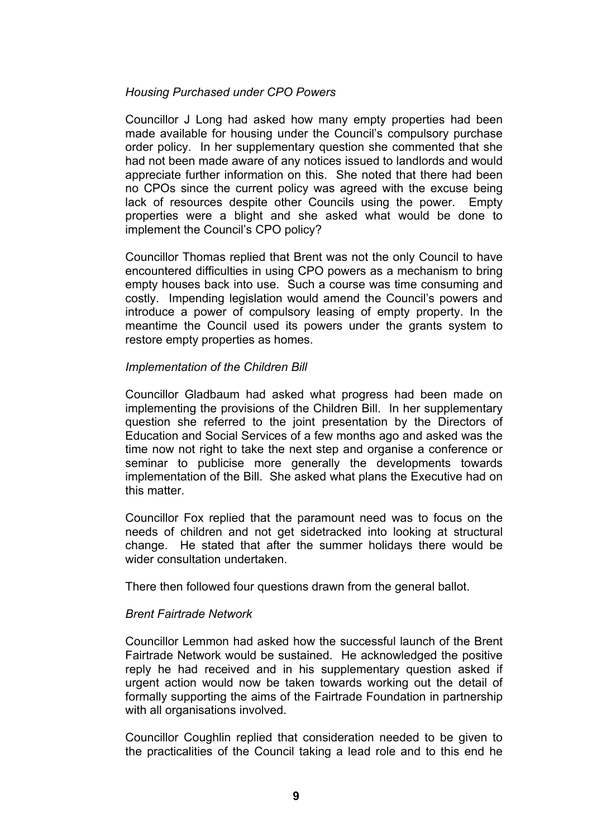### *Housing Purchased under CPO Powers*

Councillor J Long had asked how many empty properties had been made available for housing under the Council's compulsory purchase order policy. In her supplementary question she commented that she had not been made aware of any notices issued to landlords and would appreciate further information on this. She noted that there had been no CPOs since the current policy was agreed with the excuse being lack of resources despite other Councils using the power. Empty properties were a blight and she asked what would be done to implement the Council's CPO policy?

Councillor Thomas replied that Brent was not the only Council to have encountered difficulties in using CPO powers as a mechanism to bring empty houses back into use. Such a course was time consuming and costly. Impending legislation would amend the Council's powers and introduce a power of compulsory leasing of empty property. In the meantime the Council used its powers under the grants system to restore empty properties as homes.

#### *Implementation of the Children Bill*

Councillor Gladbaum had asked what progress had been made on implementing the provisions of the Children Bill. In her supplementary question she referred to the joint presentation by the Directors of Education and Social Services of a few months ago and asked was the time now not right to take the next step and organise a conference or seminar to publicise more generally the developments towards implementation of the Bill. She asked what plans the Executive had on this matter.

Councillor Fox replied that the paramount need was to focus on the needs of children and not get sidetracked into looking at structural change. He stated that after the summer holidays there would be wider consultation undertaken.

There then followed four questions drawn from the general ballot.

#### *Brent Fairtrade Network*

Councillor Lemmon had asked how the successful launch of the Brent Fairtrade Network would be sustained. He acknowledged the positive reply he had received and in his supplementary question asked if urgent action would now be taken towards working out the detail of formally supporting the aims of the Fairtrade Foundation in partnership with all organisations involved.

Councillor Coughlin replied that consideration needed to be given to the practicalities of the Council taking a lead role and to this end he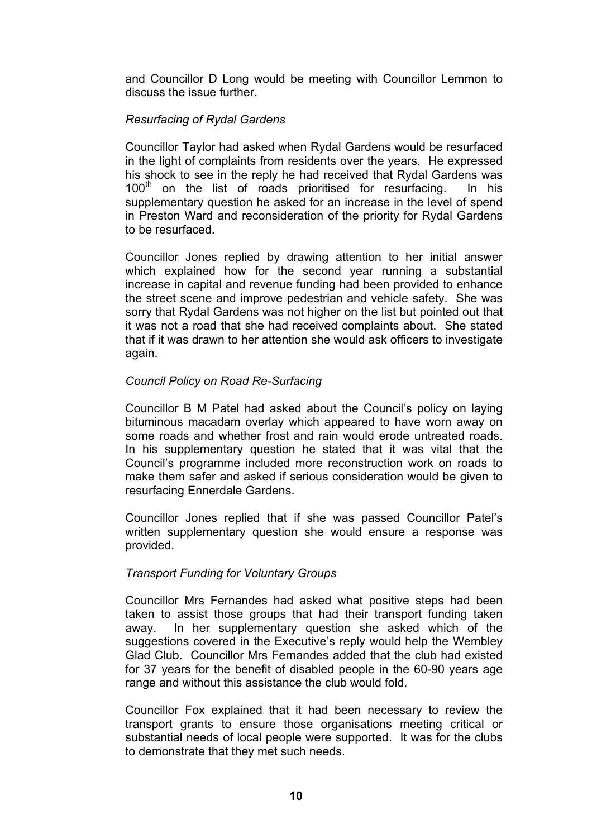and Councillor D Long would be meeting with Councillor Lemmon to discuss the issue further.

## *Resurfacing of Rydal Gardens*

Councillor Taylor had asked when Rydal Gardens would be resurfaced in the light of complaints from residents over the years. He expressed his shock to see in the reply he had received that Rydal Gardens was  $100<sup>th</sup>$  on the list of roads prioritised for resurfacing. In his supplementary question he asked for an increase in the level of spend in Preston Ward and reconsideration of the priority for Rydal Gardens to be resurfaced.

Councillor Jones replied by drawing attention to her initial answer which explained how for the second year running a substantial increase in capital and revenue funding had been provided to enhance the street scene and improve pedestrian and vehicle safety. She was sorry that Rydal Gardens was not higher on the list but pointed out that it was not a road that she had received complaints about. She stated that if it was drawn to her attention she would ask officers to investigate again.

## *Council Policy on Road Re-Surfacing*

Councillor B M Patel had asked about the Council's policy on laying bituminous macadam overlay which appeared to have worn away on some roads and whether frost and rain would erode untreated roads. In his supplementary question he stated that it was vital that the Council's programme included more reconstruction work on roads to make them safer and asked if serious consideration would be given to resurfacing Ennerdale Gardens.

Councillor Jones replied that if she was passed Councillor Patel's written supplementary question she would ensure a response was provided.

## *Transport Funding for Voluntary Groups*

Councillor Mrs Fernandes had asked what positive steps had been taken to assist those groups that had their transport funding taken away. In her supplementary question she asked which of the suggestions covered in the Executive's reply would help the Wembley Glad Club. Councillor Mrs Fernandes added that the club had existed for 37 years for the benefit of disabled people in the 60-90 years age range and without this assistance the club would fold.

Councillor Fox explained that it had been necessary to review the transport grants to ensure those organisations meeting critical or substantial needs of local people were supported. It was for the clubs to demonstrate that they met such needs.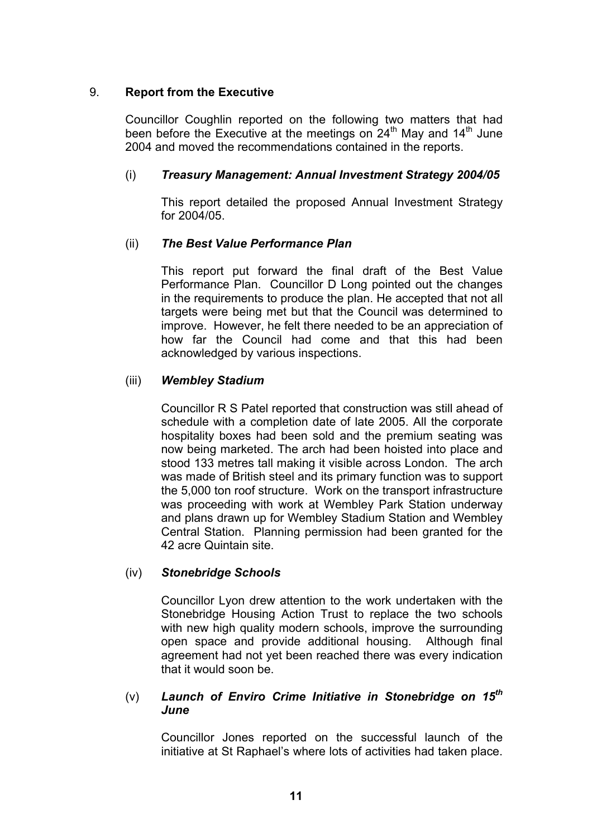## 9. **Report from the Executive**

Councillor Coughlin reported on the following two matters that had been before the Executive at the meetings on  $24<sup>th</sup>$  May and  $14<sup>th</sup>$  June 2004 and moved the recommendations contained in the reports.

## (i) *Treasury Management: Annual Investment Strategy 2004/05*

This report detailed the proposed Annual Investment Strategy for 2004/05.

## (ii) *The Best Value Performance Plan*

This report put forward the final draft of the Best Value Performance Plan. Councillor D Long pointed out the changes in the requirements to produce the plan. He accepted that not all targets were being met but that the Council was determined to improve. However, he felt there needed to be an appreciation of how far the Council had come and that this had been acknowledged by various inspections.

## (iii) *Wembley Stadium*

Councillor R S Patel reported that construction was still ahead of schedule with a completion date of late 2005. All the corporate hospitality boxes had been sold and the premium seating was now being marketed. The arch had been hoisted into place and stood 133 metres tall making it visible across London. The arch was made of British steel and its primary function was to support the 5,000 ton roof structure. Work on the transport infrastructure was proceeding with work at Wembley Park Station underway and plans drawn up for Wembley Stadium Station and Wembley Central Station. Planning permission had been granted for the 42 acre Quintain site.

## (iv) *Stonebridge Schools*

Councillor Lyon drew attention to the work undertaken with the Stonebridge Housing Action Trust to replace the two schools with new high quality modern schools, improve the surrounding open space and provide additional housing. Although final agreement had not yet been reached there was every indication that it would soon be.

### (v) *Launch of Enviro Crime Initiative in Stonebridge on 15th June*

Councillor Jones reported on the successful launch of the initiative at St Raphael's where lots of activities had taken place.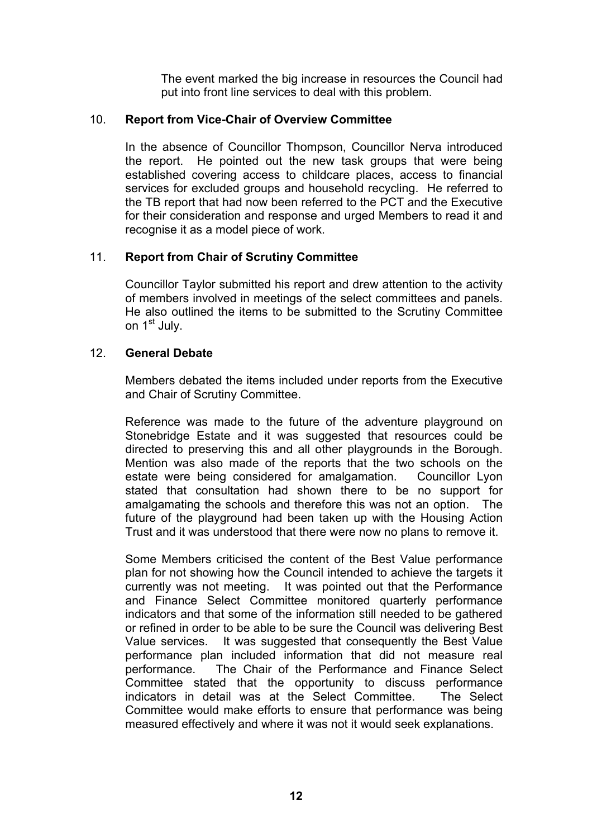The event marked the big increase in resources the Council had put into front line services to deal with this problem.

## 10. **Report from Vice-Chair of Overview Committee**

In the absence of Councillor Thompson, Councillor Nerva introduced the report. He pointed out the new task groups that were being established covering access to childcare places, access to financial services for excluded groups and household recycling. He referred to the TB report that had now been referred to the PCT and the Executive for their consideration and response and urged Members to read it and recognise it as a model piece of work.

## 11. **Report from Chair of Scrutiny Committee**

Councillor Taylor submitted his report and drew attention to the activity of members involved in meetings of the select committees and panels. He also outlined the items to be submitted to the Scrutiny Committee on 1<sup>st</sup> July.

### 12. **General Debate**

Members debated the items included under reports from the Executive and Chair of Scrutiny Committee.

Reference was made to the future of the adventure playground on Stonebridge Estate and it was suggested that resources could be directed to preserving this and all other playgrounds in the Borough. Mention was also made of the reports that the two schools on the estate were being considered for amalgamation. Councillor Lyon stated that consultation had shown there to be no support for amalgamating the schools and therefore this was not an option. The future of the playground had been taken up with the Housing Action Trust and it was understood that there were now no plans to remove it.

Some Members criticised the content of the Best Value performance plan for not showing how the Council intended to achieve the targets it currently was not meeting. It was pointed out that the Performance and Finance Select Committee monitored quarterly performance indicators and that some of the information still needed to be gathered or refined in order to be able to be sure the Council was delivering Best Value services. It was suggested that consequently the Best Value performance plan included information that did not measure real performance. The Chair of the Performance and Finance Select Committee stated that the opportunity to discuss performance indicators in detail was at the Select Committee. The Select Committee would make efforts to ensure that performance was being measured effectively and where it was not it would seek explanations.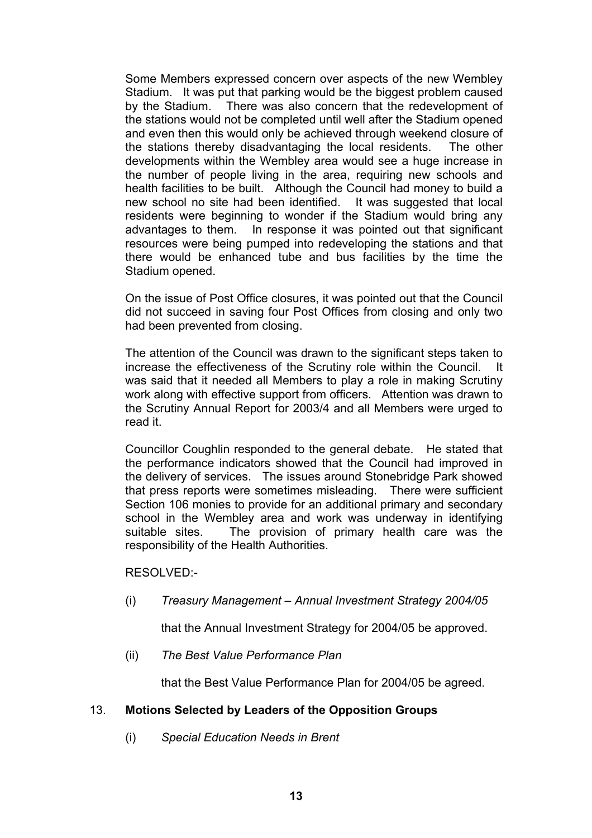Some Members expressed concern over aspects of the new Wembley Stadium. It was put that parking would be the biggest problem caused by the Stadium. There was also concern that the redevelopment of the stations would not be completed until well after the Stadium opened and even then this would only be achieved through weekend closure of the stations thereby disadvantaging the local residents. The other developments within the Wembley area would see a huge increase in the number of people living in the area, requiring new schools and health facilities to be built. Although the Council had money to build a new school no site had been identified. It was suggested that local residents were beginning to wonder if the Stadium would bring any advantages to them. In response it was pointed out that significant resources were being pumped into redeveloping the stations and that there would be enhanced tube and bus facilities by the time the Stadium opened.

On the issue of Post Office closures, it was pointed out that the Council did not succeed in saving four Post Offices from closing and only two had been prevented from closing.

The attention of the Council was drawn to the significant steps taken to increase the effectiveness of the Scrutiny role within the Council. It was said that it needed all Members to play a role in making Scrutiny work along with effective support from officers. Attention was drawn to the Scrutiny Annual Report for 2003/4 and all Members were urged to read it.

Councillor Coughlin responded to the general debate. He stated that the performance indicators showed that the Council had improved in the delivery of services. The issues around Stonebridge Park showed that press reports were sometimes misleading. There were sufficient Section 106 monies to provide for an additional primary and secondary school in the Wembley area and work was underway in identifying suitable sites. The provision of primary health care was the responsibility of the Health Authorities.

RESOLVED:-

(i) *Treasury Management – Annual Investment Strategy 2004/05* 

that the Annual Investment Strategy for 2004/05 be approved.

(ii) *The Best Value Performance Plan* 

that the Best Value Performance Plan for 2004/05 be agreed.

## 13. **Motions Selected by Leaders of the Opposition Groups**

(i) *Special Education Needs in Brent*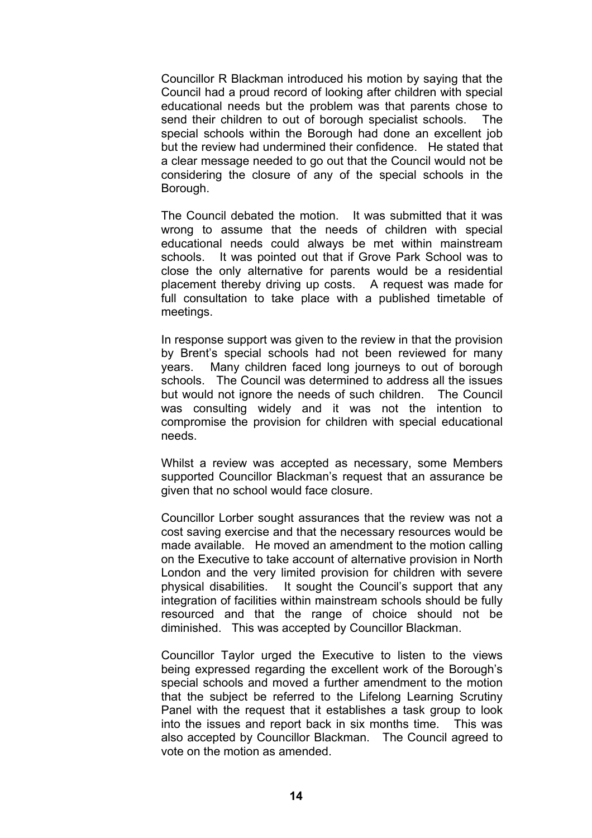Councillor R Blackman introduced his motion by saying that the Council had a proud record of looking after children with special educational needs but the problem was that parents chose to send their children to out of borough specialist schools. The special schools within the Borough had done an excellent job but the review had undermined their confidence. He stated that a clear message needed to go out that the Council would not be considering the closure of any of the special schools in the Borough.

The Council debated the motion. It was submitted that it was wrong to assume that the needs of children with special educational needs could always be met within mainstream schools. It was pointed out that if Grove Park School was to close the only alternative for parents would be a residential placement thereby driving up costs. A request was made for full consultation to take place with a published timetable of meetings.

In response support was given to the review in that the provision by Brent's special schools had not been reviewed for many years. Many children faced long journeys to out of borough schools. The Council was determined to address all the issues but would not ignore the needs of such children. The Council was consulting widely and it was not the intention to compromise the provision for children with special educational needs.

Whilst a review was accepted as necessary, some Members supported Councillor Blackman's request that an assurance be given that no school would face closure.

Councillor Lorber sought assurances that the review was not a cost saving exercise and that the necessary resources would be made available. He moved an amendment to the motion calling on the Executive to take account of alternative provision in North London and the very limited provision for children with severe physical disabilities. It sought the Council's support that any integration of facilities within mainstream schools should be fully resourced and that the range of choice should not be diminished. This was accepted by Councillor Blackman.

Councillor Taylor urged the Executive to listen to the views being expressed regarding the excellent work of the Borough's special schools and moved a further amendment to the motion that the subject be referred to the Lifelong Learning Scrutiny Panel with the request that it establishes a task group to look into the issues and report back in six months time. This was also accepted by Councillor Blackman. The Council agreed to vote on the motion as amended.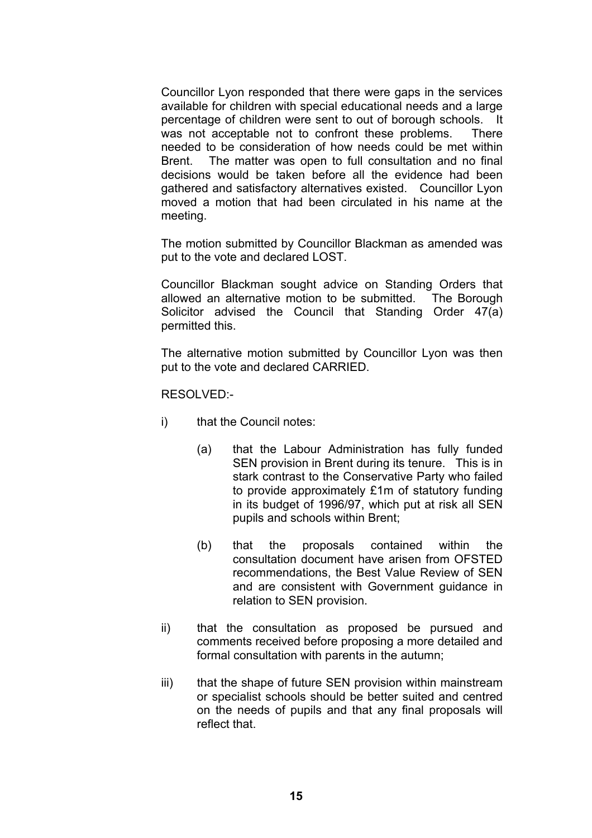Councillor Lyon responded that there were gaps in the services available for children with special educational needs and a large percentage of children were sent to out of borough schools. It was not acceptable not to confront these problems. There needed to be consideration of how needs could be met within Brent. The matter was open to full consultation and no final decisions would be taken before all the evidence had been gathered and satisfactory alternatives existed. Councillor Lyon moved a motion that had been circulated in his name at the meeting.

The motion submitted by Councillor Blackman as amended was put to the vote and declared LOST.

Councillor Blackman sought advice on Standing Orders that allowed an alternative motion to be submitted. The Borough Solicitor advised the Council that Standing Order 47(a) permitted this.

The alternative motion submitted by Councillor Lyon was then put to the vote and declared CARRIED.

RESOLVED:-

- i) that the Council notes:
	- (a) that the Labour Administration has fully funded SEN provision in Brent during its tenure. This is in stark contrast to the Conservative Party who failed to provide approximately £1m of statutory funding in its budget of 1996/97, which put at risk all SEN pupils and schools within Brent;
	- (b) that the proposals contained within the consultation document have arisen from OFSTED recommendations, the Best Value Review of SEN and are consistent with Government guidance in relation to SEN provision.
- ii) that the consultation as proposed be pursued and comments received before proposing a more detailed and formal consultation with parents in the autumn;
- iii) that the shape of future SEN provision within mainstream or specialist schools should be better suited and centred on the needs of pupils and that any final proposals will reflect that.